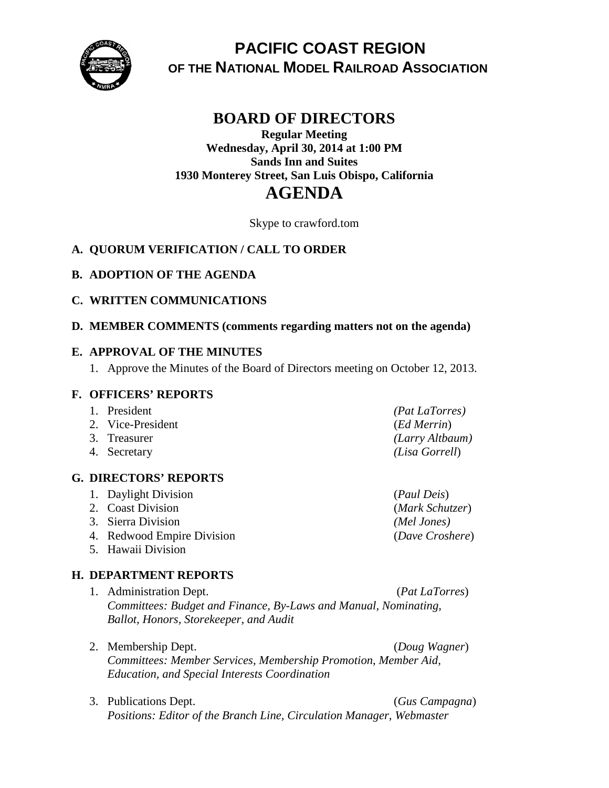

# **PACIFIC COAST REGION OF THE NATIONAL MODEL RAILROAD ASSOCIATION**

# **BOARD OF DIRECTORS**

## **Regular Meeting Wednesday, April 30, 2014 at 1:00 PM Sands Inn and Suites 1930 Monterey Street, San Luis Obispo, California AGENDA**

Skype to crawford.tom

# **A. QUORUM VERIFICATION / CALL TO ORDER**

### **B. ADOPTION OF THE AGENDA**

### **C. WRITTEN COMMUNICATIONS**

#### **D. MEMBER COMMENTS (comments regarding matters not on the agenda)**

#### **E. APPROVAL OF THE MINUTES**

1. Approve the Minutes of the Board of Directors meeting on October 12, 2013.

#### **F. OFFICERS' REPORTS**

| 1. President      | <i>(Pat LaTorres)</i> |
|-------------------|-----------------------|
| 2. Vice-President | (Ed Merrin)           |
| 3. Treasurer      | (Larry Altbaum)       |
| 4. Secretary      | (Lisa Gorrell)        |

#### **G. DIRECTORS' REPORTS**

- 1. Daylight Division (*Paul Deis*) 2. Coast Division (*Mark Schutzer*)
- 3. Sierra Division *(Mel Jones)*
- 4. Redwood Empire Division (*Dave Croshere*)
- 5. Hawaii Division

# **H. DEPARTMENT REPORTS**

- 1. Administration Dept. (*Pat LaTorres*) *Committees: Budget and Finance, By-Laws and Manual, Nominating, Ballot, Honors, Storekeeper, and Audit*
- 2. Membership Dept. (*Doug Wagner*) *Committees: Member Services, Membership Promotion, Member Aid, Education, and Special Interests Coordination*
- 3. Publications Dept. (*Gus Campagna*) *Positions: Editor of the Branch Line, Circulation Manager, Webmaster*